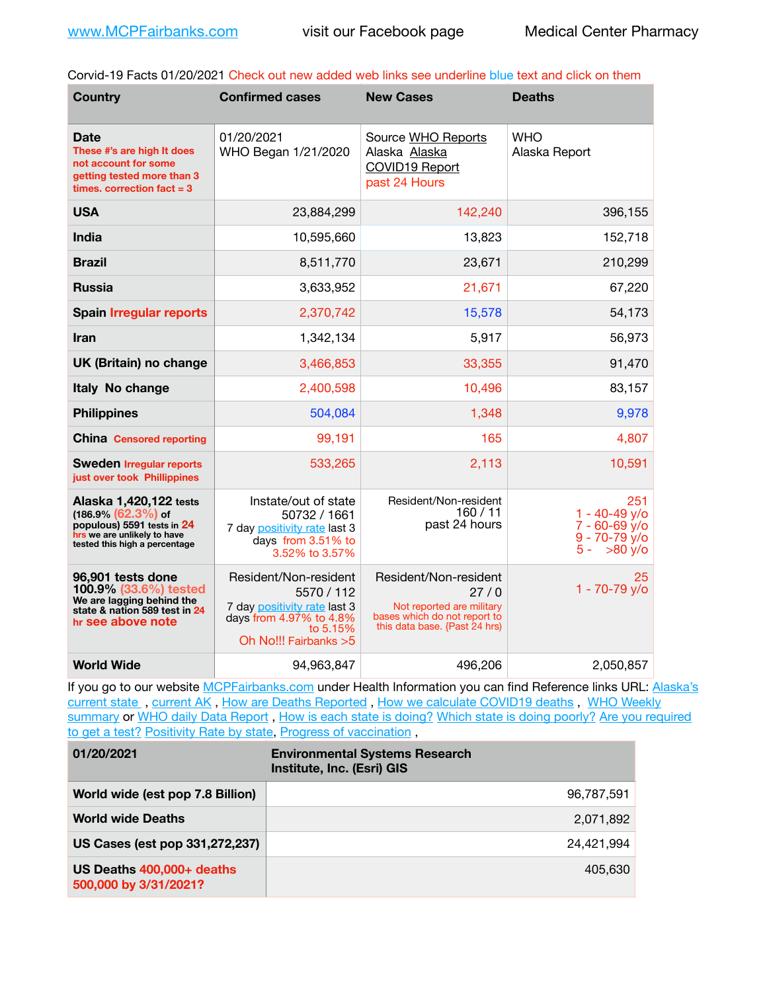Corvid-19 Facts 01/20/2021 Check out new added web links see underline blue text and click on them

| <b>Country</b>                                                                                                                                 | <b>Confirmed cases</b>                                                                                                              | <b>New Cases</b>                                                                                                            | <b>Deaths</b>                                                                                   |
|------------------------------------------------------------------------------------------------------------------------------------------------|-------------------------------------------------------------------------------------------------------------------------------------|-----------------------------------------------------------------------------------------------------------------------------|-------------------------------------------------------------------------------------------------|
| <b>Date</b><br>These #'s are high It does<br>not account for some<br>getting tested more than 3<br>times. correction $fact = 3$                | 01/20/2021<br>WHO Began 1/21/2020                                                                                                   | Source WHO Reports<br>Alaska Alaska<br>COVID19 Report<br>past 24 Hours                                                      | <b>WHO</b><br>Alaska Report                                                                     |
| <b>USA</b>                                                                                                                                     | 23,884,299                                                                                                                          | 142,240                                                                                                                     | 396,155                                                                                         |
| <b>India</b>                                                                                                                                   | 10,595,660                                                                                                                          | 13,823                                                                                                                      | 152,718                                                                                         |
| <b>Brazil</b>                                                                                                                                  | 8,511,770                                                                                                                           | 23,671                                                                                                                      | 210,299                                                                                         |
| <b>Russia</b>                                                                                                                                  | 3,633,952                                                                                                                           | 21,671                                                                                                                      | 67,220                                                                                          |
| <b>Spain Irregular reports</b>                                                                                                                 | 2,370,742                                                                                                                           | 15,578                                                                                                                      | 54,173                                                                                          |
| <b>Iran</b>                                                                                                                                    | 1,342,134                                                                                                                           | 5,917                                                                                                                       | 56,973                                                                                          |
| UK (Britain) no change                                                                                                                         | 3,466,853                                                                                                                           | 33,355                                                                                                                      | 91,470                                                                                          |
| Italy No change                                                                                                                                | 2,400,598                                                                                                                           | 10,496                                                                                                                      | 83,157                                                                                          |
| <b>Philippines</b>                                                                                                                             | 504,084                                                                                                                             | 1,348                                                                                                                       | 9,978                                                                                           |
| <b>China Censored reporting</b>                                                                                                                | 99,191                                                                                                                              | 165                                                                                                                         | 4,807                                                                                           |
| <b>Sweden Irregular reports</b><br>just over took Phillippines                                                                                 | 533,265                                                                                                                             | 2,113                                                                                                                       | 10,591                                                                                          |
| Alaska 1,420,122 tests<br>$(186.9\%)(62.3\%)$ of<br>populous) 5591 tests in 24<br>hrs we are unlikely to have<br>tested this high a percentage | Instate/out of state<br>50732 / 1661<br>7 day positivity rate last 3<br>days from 3.51% to<br>3.52% to 3.57%                        | Resident/Non-resident<br>160/11<br>past 24 hours                                                                            | 251<br>$1 - 40 - 49$ y/o<br>$7 - 60 - 69$ $y$ /o<br>$9 - 70 - 79$ $V/O$<br>$5 - 80 \text{ y/o}$ |
| 96,901 tests done<br>100.9% (33.6%) tested<br>We are lagging behind the<br>state & nation 589 test in 24<br>hr see above note                  | Resident/Non-resident<br>5570 / 112<br>7 day positivity rate last 3<br>days from 4.97% to 4.8%<br>to 5.15%<br>Oh No!!! Fairbanks >5 | Resident/Non-resident<br>27/0<br>Not reported are military<br>bases which do not report to<br>this data base. {Past 24 hrs) | 25<br>1 - 70-79 y/o                                                                             |
| <b>World Wide</b>                                                                                                                              | 94,963,847                                                                                                                          | 496,206                                                                                                                     | 2,050,857                                                                                       |

If you go to our website [MCPFairbanks.com](http://www.MCPFairbanks.com) under Health Information you can find Reference links URL: Alaska's current state, current AK, [How are Deaths Reported](http://dhss.alaska.gov/dph/Epi/id/Pages/COVID-19/deathcounts.aspx), [How we calculate COVID19 deaths](https://coronavirus-response-alaska-dhss.hub.arcgis.com/search?collection=Document&groupIds=41ccb3344ebc4bd682c74073eba21f42), WHO Weekly [summary](http://www.who.int) or [WHO daily Data Report](https://covid19.who.int/table), [How is each state is doing?](https://www.msn.com/en-us/news/us/state-by-state-coronavirus-news/ar-BB13E1PX?fbclid=IwAR0_OBJH7lSyTN3ug_MsOeFnNgB1orTa9OBgilKJ7dhnwlVvHEsptuKkj1c) [Which state is doing poorly?](https://bestlifeonline.com/covid-outbreak-your-state/?utm_source=nsltr&utm_medium=email&utm_content=covid-outbreak-your-state&utm_campaign=launch) Are you required [to get a test?](http://dhss.alaska.gov/dph/Epi/id/SiteAssets/Pages/HumanCoV/Whattodoafteryourtest.pdf) [Positivity Rate by state](https://coronavirus.jhu.edu/testing/individual-states/alaska), [Progress of vaccination](https://covid.cdc.gov/covid-data-tracker/#vaccinations),

| 01/20/2021                                         | <b>Environmental Systems Research</b><br>Institute, Inc. (Esri) GIS |
|----------------------------------------------------|---------------------------------------------------------------------|
| World wide (est pop 7.8 Billion)                   | 96,787,591                                                          |
| <b>World wide Deaths</b>                           | 2,071,892                                                           |
| US Cases (est pop 331,272,237)                     | 24.421.994                                                          |
| US Deaths 400,000+ deaths<br>500,000 by 3/31/2021? | 405.630                                                             |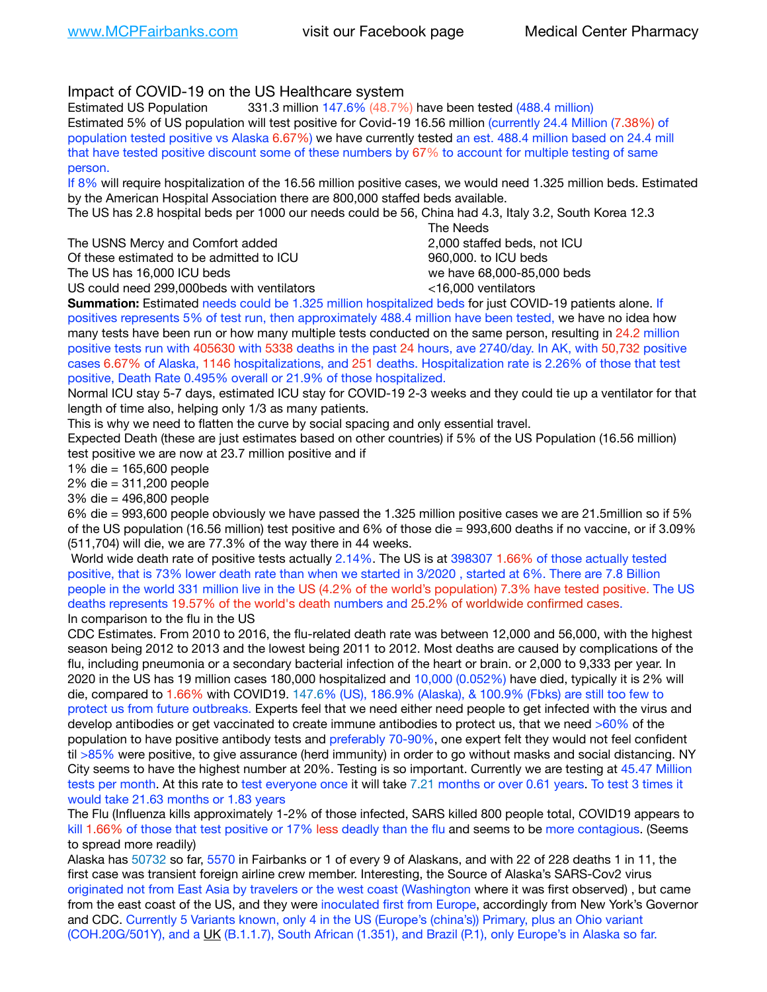## Impact of COVID-19 on the US Healthcare system

Estimated US Population 331.3 million 147.6% (48.7%) have been tested (488.4 million) Estimated 5% of US population will test positive for Covid-19 16.56 million (currently 24.4 Million (7.38%) of population tested positive vs Alaska 6.67%) we have currently tested an est. 488.4 million based on 24.4 mill that have tested positive discount some of these numbers by 67% to account for multiple testing of same person.

If 8% will require hospitalization of the 16.56 million positive cases, we would need 1.325 million beds. Estimated by the American Hospital Association there are 800,000 staffed beds available.

The US has 2.8 hospital beds per 1000 our needs could be 56, China had 4.3, Italy 3.2, South Korea 12.3

The USNS Mercy and Comfort added **8.2000** staffed beds, not ICU Of these estimated to be admitted to ICU 960,000, to ICU beds The US has 16,000 ICU beds we have 68,000-85,000 beds US could need 299,000 beds with ventilators  $\leq 16,000$  ventilators

 The Needs

**Summation:** Estimated needs could be 1.325 million hospitalized beds for just COVID-19 patients alone. If positives represents 5% of test run, then approximately 488.4 million have been tested, we have no idea how many tests have been run or how many multiple tests conducted on the same person, resulting in 24.2 million positive tests run with 405630 with 5338 deaths in the past 24 hours, ave 2740/day. In AK, with 50,732 positive cases 6.67% of Alaska, 1146 hospitalizations, and 251 deaths. Hospitalization rate is 2.26% of those that test positive, Death Rate 0.495% overall or 21.9% of those hospitalized.

Normal ICU stay 5-7 days, estimated ICU stay for COVID-19 2-3 weeks and they could tie up a ventilator for that length of time also, helping only 1/3 as many patients.

This is why we need to flatten the curve by social spacing and only essential travel.

Expected Death (these are just estimates based on other countries) if 5% of the US Population (16.56 million) test positive we are now at 23.7 million positive and if

1% die = 165,600 people

2% die = 311,200 people

3% die = 496,800 people

6% die = 993,600 people obviously we have passed the 1.325 million positive cases we are 21.5million so if 5% of the US population (16.56 million) test positive and 6% of those die = 993,600 deaths if no vaccine, or if 3.09% (511,704) will die, we are 77.3% of the way there in 44 weeks.

 World wide death rate of positive tests actually 2.14%. The US is at 398307 1.66% of those actually tested positive, that is 73% lower death rate than when we started in 3/2020 , started at 6%. There are 7.8 Billion people in the world 331 million live in the US (4.2% of the world's population) 7.3% have tested positive. The US deaths represents 19.57% of the world's death numbers and 25.2% of worldwide confirmed cases. In comparison to the flu in the US

CDC Estimates. From 2010 to 2016, the flu-related death rate was between 12,000 and 56,000, with the highest season being 2012 to 2013 and the lowest being 2011 to 2012. Most deaths are caused by complications of the flu, including pneumonia or a secondary bacterial infection of the heart or brain. or 2,000 to 9,333 per year. In 2020 in the US has 19 million cases 180,000 hospitalized and 10,000 (0.052%) have died, typically it is 2% will die, compared to 1.66% with COVID19. 147.6% (US), 186.9% (Alaska), & 100.9% (Fbks) are still too few to protect us from future outbreaks. Experts feel that we need either need people to get infected with the virus and develop antibodies or get vaccinated to create immune antibodies to protect us, that we need >60% of the population to have positive antibody tests and preferably 70-90%, one expert felt they would not feel confident til >85% were positive, to give assurance (herd immunity) in order to go without masks and social distancing. NY City seems to have the highest number at 20%. Testing is so important. Currently we are testing at 45.47 Million tests per month. At this rate to test everyone once it will take 7.21 months or over 0.61 years. To test 3 times it would take 21.63 months or 1.83 years

The Flu (Influenza kills approximately 1-2% of those infected, SARS killed 800 people total, COVID19 appears to kill 1.66% of those that test positive or 17% less deadly than the flu and seems to be more contagious. (Seems to spread more readily)

Alaska has 50732 so far, 5570 in Fairbanks or 1 of every 9 of Alaskans, and with 22 of 228 deaths 1 in 11, the first case was transient foreign airline crew member. Interesting, the Source of Alaska's SARS-Cov2 virus originated not from East Asia by travelers or the west coast (Washington where it was first observed) , but came from the east coast of the US, and they were inoculated first from Europe, accordingly from New York's Governor and CDC. Currently 5 Variants known, only 4 in the US (Europe's (china's)) Primary, plus an Ohio variant (COH.20G/501Y), and a [UK](https://www.cdc.gov/coronavirus/2019-ncov/transmission/variant-cases.html) (B.1.1.7), South African (1.351), and Brazil (P.1), only Europe's in Alaska so far.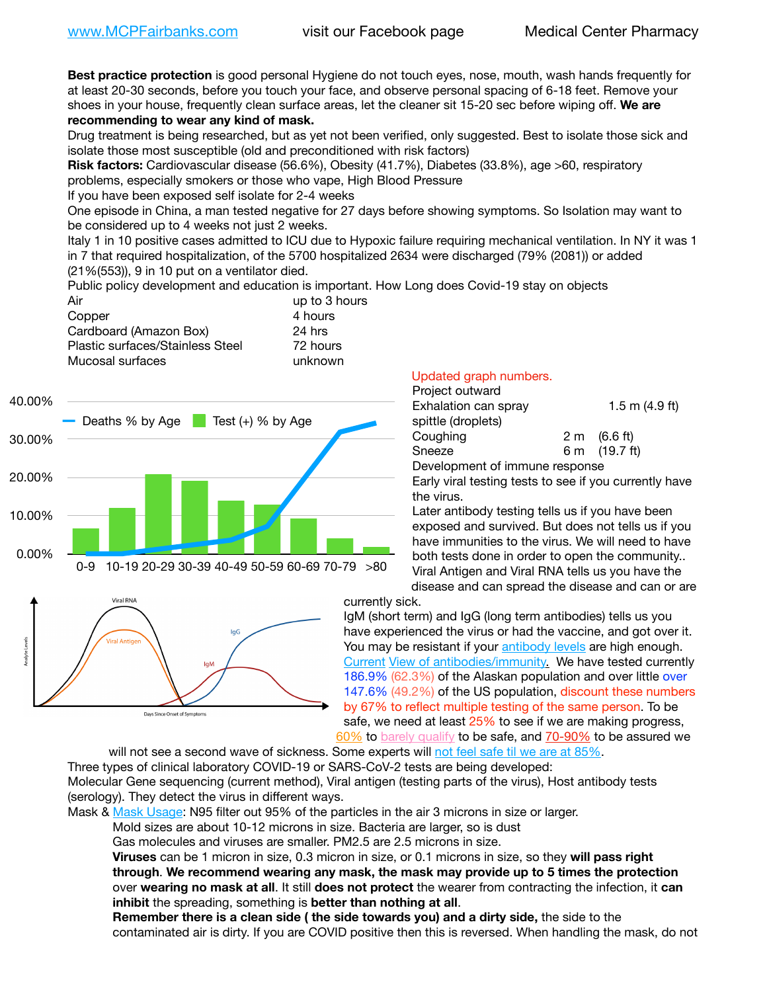**Best practice protection** is good personal Hygiene do not touch eyes, nose, mouth, wash hands frequently for at least 20-30 seconds, before you touch your face, and observe personal spacing of 6-18 feet. Remove your shoes in your house, frequently clean surface areas, let the cleaner sit 15-20 sec before wiping off. **We are recommending to wear any kind of mask.**

Drug treatment is being researched, but as yet not been verified, only suggested. Best to isolate those sick and isolate those most susceptible (old and preconditioned with risk factors)

**Risk factors:** Cardiovascular disease (56.6%), Obesity (41.7%), Diabetes (33.8%), age >60, respiratory problems, especially smokers or those who vape, High Blood Pressure

If you have been exposed self isolate for 2-4 weeks

One episode in China, a man tested negative for 27 days before showing symptoms. So Isolation may want to be considered up to 4 weeks not just 2 weeks.

Italy 1 in 10 positive cases admitted to ICU due to Hypoxic failure requiring mechanical ventilation. In NY it was 1 in 7 that required hospitalization, of the 5700 hospitalized 2634 were discharged (79% (2081)) or added (21%(553)), 9 in 10 put on a ventilator died.

Public policy development and education is important. How Long does Covid-19 stay on objects

| Air                              | up to 3 hours |
|----------------------------------|---------------|
| Copper                           | 4 hours       |
| Cardboard (Amazon Box)           | 24 hrs        |
| Plastic surfaces/Stainless Steel | 72 hours      |
| Mucosal surfaces                 | unknown       |
|                                  |               |





## Updated graph numbers.

| Project outward                |                        |
|--------------------------------|------------------------|
| Exhalation can spray           | 1.5 m $(4.9$ ft)       |
| spittle (droplets)             |                        |
| Coughing                       | $2 \text{ m}$ (6.6 ft) |
| Sneeze                         | 6 m (19.7 ft)          |
| Development of immune response |                        |

Early viral testing tests to see if you currently have the virus.

Later antibody testing tells us if you have been exposed and survived. But does not tells us if you have immunities to the virus. We will need to have both tests done in order to open the community.. Viral Antigen and Viral RNA tells us you have the disease and can spread the disease and can or are

currently sick.

IgM (short term) and IgG (long term antibodies) tells us you have experienced the virus or had the vaccine, and got over it. You may be resistant if your **antibody levels** are high enough. [Current](https://l.facebook.com/l.php?u=https://www.itv.com/news/2020-10-26/covid-19-antibody-levels-reduce-over-time-study-finds?fbclid=IwAR3Dapzh1qIH1EIOdUQI2y8THf7jfA4KBCaJz8Qg-8xe1YsrR4nsAHDIXSY&h=AT30nut8pkqp0heVuz5W2rT2WFFm-2Ab52BsJxZZCNlGsX58IpPkuVEPULbIUV_M16MAukx1Kwb657DPXxsgDN1rpOQ4gqBtQsmVYiWpnHPJo2RQsU6CPMd14lgLnQnFWxfVi6zvmw&__tn__=-UK-R&c%5B0%5D=AT1GaRAfR_nGAyqcn7TI1-PpvqOqEKXHnz6TDWvRStMnOSH7boQDvTiwTOc6VId9UES6LKiOmm2m88wKCoolkJyOFvakt2Z1Mw8toYWGGoWW23r0MNVBl7cYJXB_UOvGklNHaNnaNr1_S7NhT3BSykNOBg) [View of antibodies/immunity](https://www.livescience.com/antibodies.html)[.](https://www.itv.com/news/2020-10-26/covid-19-antibody-levels-reduce-over-time-study-finds) We have tested currently 186.9% (62.3%) of the Alaskan population and over little over 147.6% (49.2%) of the US population, discount these numbers by 67% to reflect multiple testing of the same person. To be safe, we need at least 25% to see if we are making progress, [60%](https://www.jhsph.edu/covid-19/articles/achieving-herd-immunity-with-covid19.html) to [barely qualify](https://www.nature.com/articles/d41586-020-02948-4) to be safe, and [70-90%](https://www.mayoclinic.org/herd-immunity-and-coronavirus/art-20486808) to be assured we

will not see a second wave of sickness. Some experts will [not feel safe til we are at 85%.](https://www.bannerhealth.com/healthcareblog/teach-me/what-is-herd-immunity) Three types of clinical laboratory COVID-19 or SARS-CoV-2 tests are being developed: Molecular Gene sequencing (current method), Viral antigen (testing parts of the virus), Host antibody tests (serology). They detect the virus in different ways.

Mask & [Mask Usage:](https://www.nationalgeographic.com/history/2020/03/how-cities-flattened-curve-1918-spanish-flu-pandemic-coronavirus/) N95 filter out 95% of the particles in the air 3 microns in size or larger.

Mold sizes are about 10-12 microns in size. Bacteria are larger, so is dust

Gas molecules and viruses are smaller. PM2.5 are 2.5 microns in size.

**Viruses** can be 1 micron in size, 0.3 micron in size, or 0.1 microns in size, so they **will pass right through**. **We recommend wearing any mask, the mask may provide up to 5 times the protection** over **wearing no mask at all**. It still **does not protect** the wearer from contracting the infection, it **can inhibit** the spreading, something is **better than nothing at all**.

**Remember there is a clean side ( the side towards you) and a dirty side,** the side to the contaminated air is dirty. If you are COVID positive then this is reversed. When handling the mask, do not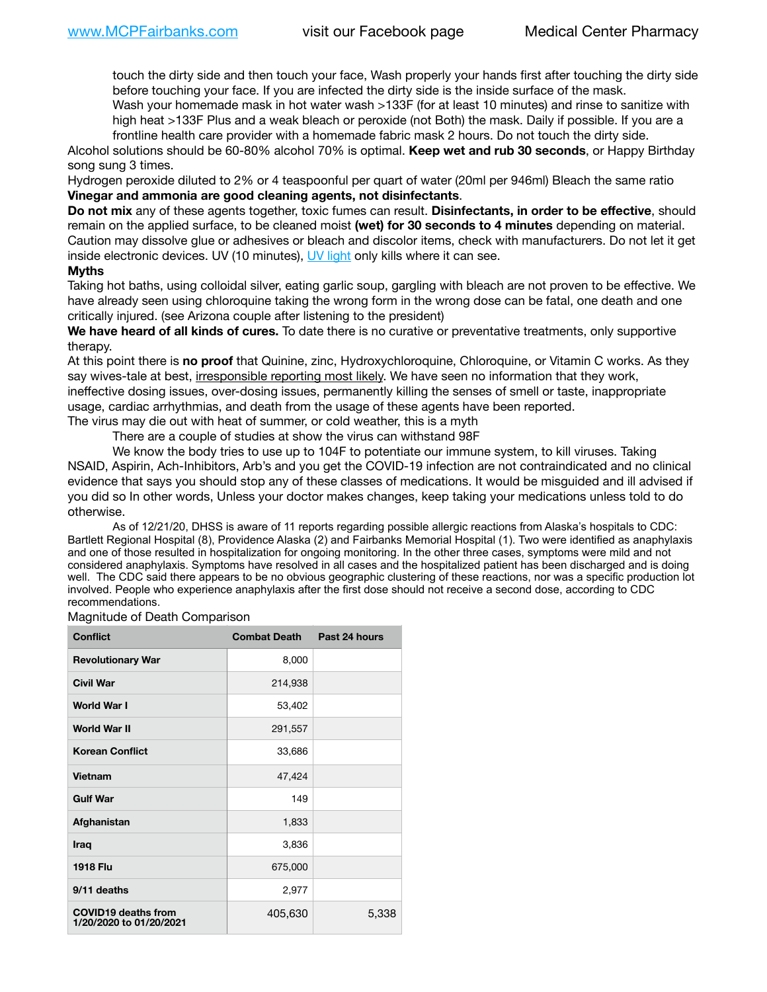touch the dirty side and then touch your face, Wash properly your hands first after touching the dirty side before touching your face. If you are infected the dirty side is the inside surface of the mask.

Wash your homemade mask in hot water wash >133F (for at least 10 minutes) and rinse to sanitize with high heat >133F Plus and a weak bleach or peroxide (not Both) the mask. Daily if possible. If you are a frontline health care provider with a homemade fabric mask 2 hours. Do not touch the dirty side.

Alcohol solutions should be 60-80% alcohol 70% is optimal. **Keep wet and rub 30 seconds**, or Happy Birthday song sung 3 times.

Hydrogen peroxide diluted to 2% or 4 teaspoonful per quart of water (20ml per 946ml) Bleach the same ratio **Vinegar and ammonia are good cleaning agents, not disinfectants**.

**Do not mix** any of these agents together, toxic fumes can result. **Disinfectants, in order to be effective**, should remain on the applied surface, to be cleaned moist **(wet) for 30 seconds to 4 minutes** depending on material. Caution may dissolve glue or adhesives or bleach and discolor items, check with manufacturers. Do not let it get inside electronic devices. UV (10 minutes), [UV light](http://www.docreviews.me/best-uv-boxes-2020/?fbclid=IwAR3bvFtXB48OoBBSvYvTEnKuHNPbipxM6jUo82QUSw9wckxjC7wwRZWabGw) only kills where it can see.

## **Myths**

Taking hot baths, using colloidal silver, eating garlic soup, gargling with bleach are not proven to be effective. We have already seen using chloroquine taking the wrong form in the wrong dose can be fatal, one death and one critically injured. (see Arizona couple after listening to the president)

**We have heard of all kinds of cures.** To date there is no curative or preventative treatments, only supportive therapy.

At this point there is **no proof** that Quinine, zinc, Hydroxychloroquine, Chloroquine, or Vitamin C works. As they say wives-tale at best, irresponsible reporting most likely. We have seen no information that they work, ineffective dosing issues, over-dosing issues, permanently killing the senses of smell or taste, inappropriate usage, cardiac arrhythmias, and death from the usage of these agents have been reported. The virus may die out with heat of summer, or cold weather, this is a myth

There are a couple of studies at show the virus can withstand 98F

We know the body tries to use up to 104F to potentiate our immune system, to kill viruses. Taking NSAID, Aspirin, Ach-Inhibitors, Arb's and you get the COVID-19 infection are not contraindicated and no clinical evidence that says you should stop any of these classes of medications. It would be misguided and ill advised if you did so In other words, Unless your doctor makes changes, keep taking your medications unless told to do otherwise.

As of 12/21/20, DHSS is aware of 11 reports regarding possible allergic reactions from Alaska's hospitals to CDC: Bartlett Regional Hospital (8), Providence Alaska (2) and Fairbanks Memorial Hospital (1). Two were identified as anaphylaxis and one of those resulted in hospitalization for ongoing monitoring. In the other three cases, symptoms were mild and not considered anaphylaxis. Symptoms have resolved in all cases and the hospitalized patient has been discharged and is doing well. The CDC said there appears to be no obvious geographic clustering of these reactions, nor was a specific production lot involved. People who experience anaphylaxis after the first dose should not receive a second dose, according to CDC recommendations.

Magnitude of Death Comparison

| <b>Conflict</b>                                       | <b>Combat Death</b> | Past 24 hours |
|-------------------------------------------------------|---------------------|---------------|
| <b>Revolutionary War</b>                              | 8,000               |               |
| <b>Civil War</b>                                      | 214,938             |               |
| World War I                                           | 53,402              |               |
| <b>World War II</b>                                   | 291,557             |               |
| <b>Korean Conflict</b>                                | 33,686              |               |
| <b>Vietnam</b>                                        | 47,424              |               |
| <b>Gulf War</b>                                       | 149                 |               |
| Afghanistan                                           | 1,833               |               |
| <b>Iraq</b>                                           | 3,836               |               |
| <b>1918 Flu</b>                                       | 675,000             |               |
| 9/11 deaths                                           | 2,977               |               |
| <b>COVID19 deaths from</b><br>1/20/2020 to 01/20/2021 | 405,630             | 5,338         |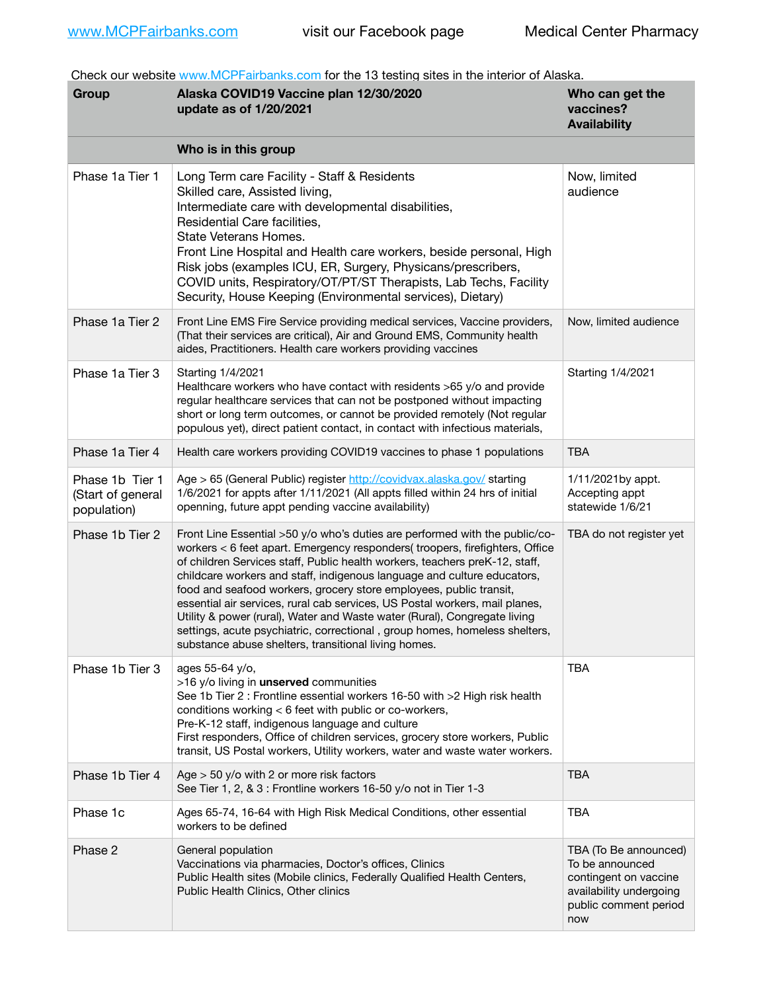Check our website [www.MCPFairbanks.com](http://www.MCPFairbanks.com) for the 13 testing sites in the interior of Alaska.

| Group                                               | Alaska COVID19 Vaccine plan 12/30/2020<br>update as of 1/20/2021                                                                                                                                                                                                                                                                                                                                                                                                                                                                                                                                                                                                                              | Who can get the<br>vaccines?<br><b>Availability</b>                                                                          |
|-----------------------------------------------------|-----------------------------------------------------------------------------------------------------------------------------------------------------------------------------------------------------------------------------------------------------------------------------------------------------------------------------------------------------------------------------------------------------------------------------------------------------------------------------------------------------------------------------------------------------------------------------------------------------------------------------------------------------------------------------------------------|------------------------------------------------------------------------------------------------------------------------------|
|                                                     | Who is in this group                                                                                                                                                                                                                                                                                                                                                                                                                                                                                                                                                                                                                                                                          |                                                                                                                              |
| Phase 1a Tier 1                                     | Long Term care Facility - Staff & Residents<br>Skilled care, Assisted living,<br>Intermediate care with developmental disabilities,<br>Residential Care facilities.<br>State Veterans Homes.<br>Front Line Hospital and Health care workers, beside personal, High<br>Risk jobs (examples ICU, ER, Surgery, Physicans/prescribers,<br>COVID units, Respiratory/OT/PT/ST Therapists, Lab Techs, Facility<br>Security, House Keeping (Environmental services), Dietary)                                                                                                                                                                                                                         | Now, limited<br>audience                                                                                                     |
| Phase 1a Tier 2                                     | Front Line EMS Fire Service providing medical services, Vaccine providers,<br>(That their services are critical), Air and Ground EMS, Community health<br>aides, Practitioners. Health care workers providing vaccines                                                                                                                                                                                                                                                                                                                                                                                                                                                                        | Now, limited audience                                                                                                        |
| Phase 1a Tier 3                                     | Starting 1/4/2021<br>Healthcare workers who have contact with residents >65 y/o and provide<br>regular healthcare services that can not be postponed without impacting<br>short or long term outcomes, or cannot be provided remotely (Not regular<br>populous yet), direct patient contact, in contact with infectious materials,                                                                                                                                                                                                                                                                                                                                                            | Starting 1/4/2021                                                                                                            |
| Phase 1a Tier 4                                     | Health care workers providing COVID19 vaccines to phase 1 populations                                                                                                                                                                                                                                                                                                                                                                                                                                                                                                                                                                                                                         | <b>TBA</b>                                                                                                                   |
| Phase 1b Tier 1<br>(Start of general<br>population) | Age > 65 (General Public) register http://covidvax.alaska.gov/ starting<br>1/6/2021 for appts after 1/11/2021 (All appts filled within 24 hrs of initial<br>openning, future appt pending vaccine availability)                                                                                                                                                                                                                                                                                                                                                                                                                                                                               | 1/11/2021by appt.<br>Accepting appt<br>statewide 1/6/21                                                                      |
| Phase 1b Tier 2                                     | Front Line Essential >50 y/o who's duties are performed with the public/co-<br>workers < 6 feet apart. Emergency responders( troopers, firefighters, Office<br>of children Services staff, Public health workers, teachers preK-12, staff,<br>childcare workers and staff, indigenous language and culture educators,<br>food and seafood workers, grocery store employees, public transit,<br>essential air services, rural cab services, US Postal workers, mail planes,<br>Utility & power (rural), Water and Waste water (Rural), Congregate living<br>settings, acute psychiatric, correctional, group homes, homeless shelters,<br>substance abuse shelters, transitional living homes. | TBA do not register yet                                                                                                      |
| Phase 1b Tier 3                                     | ages 55-64 y/o,<br>>16 y/o living in unserved communities<br>See 1b Tier 2 : Frontline essential workers 16-50 with >2 High risk health<br>conditions working < 6 feet with public or co-workers,<br>Pre-K-12 staff, indigenous language and culture<br>First responders, Office of children services, grocery store workers, Public<br>transit, US Postal workers, Utility workers, water and waste water workers.                                                                                                                                                                                                                                                                           | <b>TBA</b>                                                                                                                   |
| Phase 1b Tier 4                                     | Age $>$ 50 y/o with 2 or more risk factors<br>See Tier 1, 2, & 3 : Frontline workers 16-50 y/o not in Tier 1-3                                                                                                                                                                                                                                                                                                                                                                                                                                                                                                                                                                                | <b>TBA</b>                                                                                                                   |
| Phase 1c                                            | Ages 65-74, 16-64 with High Risk Medical Conditions, other essential<br>workers to be defined                                                                                                                                                                                                                                                                                                                                                                                                                                                                                                                                                                                                 | <b>TBA</b>                                                                                                                   |
| Phase 2                                             | General population<br>Vaccinations via pharmacies, Doctor's offices, Clinics<br>Public Health sites (Mobile clinics, Federally Qualified Health Centers,<br>Public Health Clinics, Other clinics                                                                                                                                                                                                                                                                                                                                                                                                                                                                                              | TBA (To Be announced)<br>To be announced<br>contingent on vaccine<br>availability undergoing<br>public comment period<br>now |